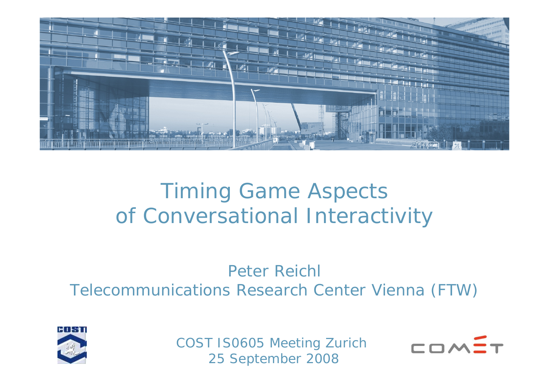

# Timing Game Aspects of Conversational Interactivity

#### Peter ReichlTelecommunications Research Center Vienna (FTW)



COST IS0605 Meeting Zurich 25 September 2008

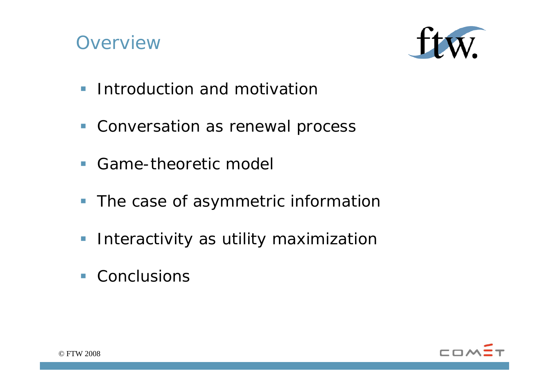# **Overview**



- **Introduction and motivation**
- **Conversation as renewal process**
- **Game-theoretic model**
- The case of asymmetric information
- **Interactivity as utility maximization**
- Conclusions

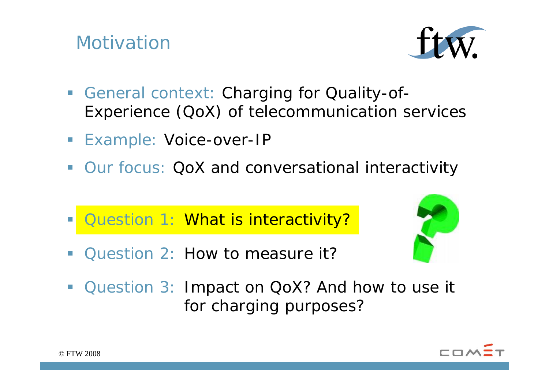### Motivation



- $\mathcal{L}_{\mathcal{A}}$  General context: Charging for Quality-of-Experience (QoX) of telecommunication services
- **Example: Voice-over-IP**
- $\mathcal{L}_{\mathcal{A}}$ Our focus: QoX and conversational interactivity
- Duestion 1: What is interactivity?
- $\overline{\phantom{a}}$ Question 2: How to measure it?



**Question 3: Impact on QoX? And how to use it** for charging purposes?

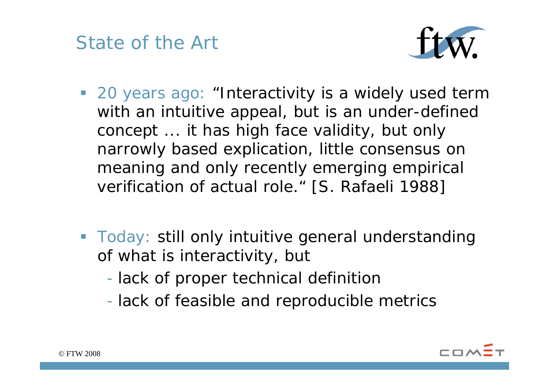State of the Art



- **20 years ago: "Interactivity is a widely used term** with an intuitive appeal, but is an under-defined concept ... it has high face validity, but only narrowly based explication, little consensus on meaning and only recently emerging empirical verification of actual role." [S. Rafaeli 1988]
- **Today: still only intuitive general understanding** of what is interactivity, but
	- lack of proper technical definition
	- lack of feasible and reproducible metrics

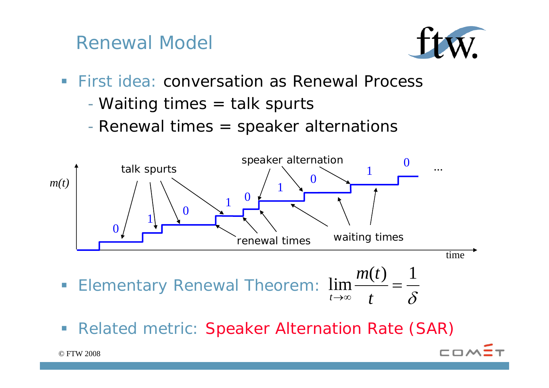Renewal Model



**COA** 

- **First idea: conversation as Renewal Process** 
	- Waiting times = talk spurts
	- Renewal times = speaker alternations



 $\overline{\phantom{a}}$ Related metric: Speaker Alternation Rate (SAR)

→∞*t*

 $^\infty$  t

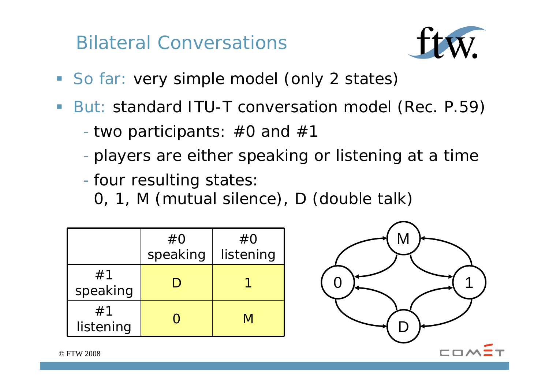Bilateral Conversations



- **So far: very simple model (only 2 states)**
- $\mathcal{L}_{\mathcal{A}}$ But: standard ITU-T conversation model (Rec. P.59)

- two participants: #0 and #1

players are either speaking or listening at a time

-- four resulting states:

0, 1, M (mutual silence), D (double talk)

|                 | #O<br>speaking | #O<br>listening |
|-----------------|----------------|-----------------|
| #1<br>speaking  |                |                 |
| #1<br>listening |                | M               |

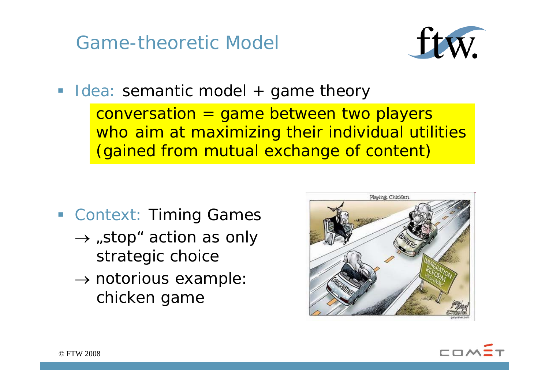Game-theoretic Model



**Iolea: semantic model + game theory**  $conversion = game between two players$ who aim at maximizing their individual utilities (gained from mutual exchange of content)

- **Example Context: Timing Games** 
	- $\rightarrow$  "stop" action as only strategic choice
	- $\rightarrow$  notorious example: chicken game



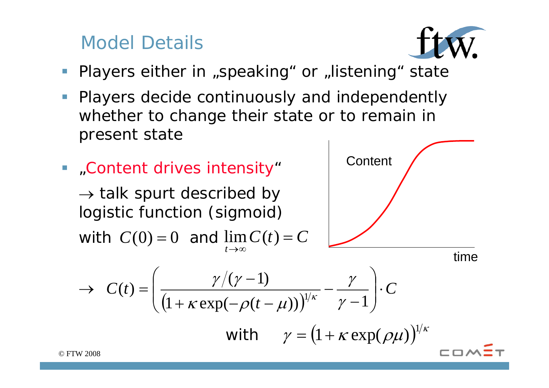#### Model Details



- $\mathbb{R}^3$ Players either in "speaking" or "listening" state
- $\mathcal{L}_{\mathcal{A}}$  Players decide continuously and independently whether to change their state or to remain in present state
- "Content drives intensity"

 $\rightarrow$  talk spurt described by logistic function (sigmoid)

with  $C(0) = 0$  and  $\lim C(t) = C$ *t*→∞



time

$$
\rightarrow C(t) = \left(\frac{\gamma/(\gamma-1)}{\left(1+\kappa\exp(-\rho(t-\mu))\right)^{1/\kappa}} - \frac{\gamma}{\gamma-1}\right) \cdot C
$$

with 
$$
\gamma = (1 + \kappa \exp(\rho \mu))^{1/\kappa}
$$

*©* FTW 2008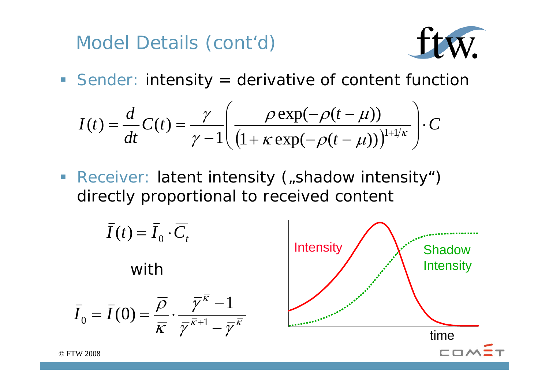Model Details (cont'd)



**Sender: intensity = derivative of content function** 

$$
I(t) = \frac{d}{dt}C(t) = \frac{\gamma}{\gamma - 1} \left( \frac{\rho \exp(-\rho(t - \mu))}{\left(1 + \kappa \exp(-\rho(t - \mu))\right)^{1 + 1/\kappa}} \right) \cdot C
$$

• Receiver: latent intensity ("shadow intensity") directly proportional to received content

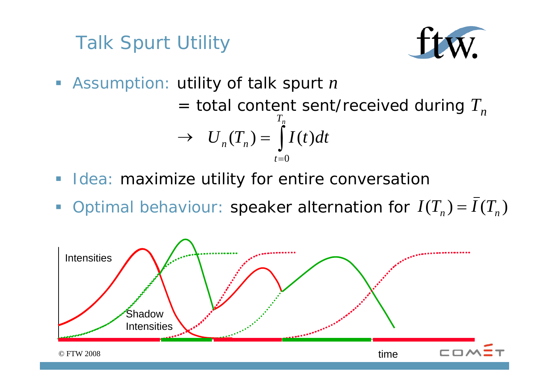# Talk Spurt Utility



Assumption: utility of talk spurt *<sup>n</sup>*

 $=$  total content sent/received during  $T<sub>n</sub>$  $\rightarrow$ ∫ ==  $T_n$ *t* $U_n(T_n) = \int I(t)dt$ 0

- **If Idea: maximize utility for entire conversation**
- $\mathcal{L}_{\mathcal{A}}$ Optimal behaviour: speaker alternation for  $I(T_n) = I(T_n)$

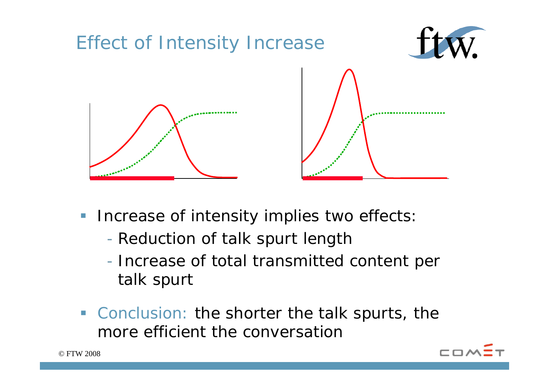

- $\mathcal{L}_{\mathcal{A}}$  Increase of intensity implies two effects:
	- Reduction of talk spurt length
	- Increase of total transmitted content per talk spurt
- **Conclusion: the shorter the talk spurts, the** more efficient the conversation

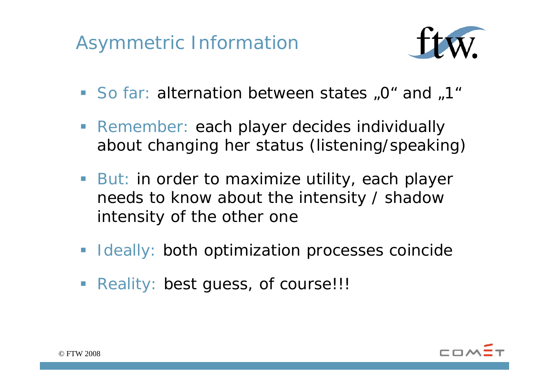# Asymmetric Information



- So far: alternation between states "0" and "1"
- **Remember: each player decides individually** about changing her status (listening/speaking)
- **But: in order to maximize utility, each player** needs to know about the intensity / shadow intensity of the other one
- **Ideally: both optimization processes coincide**
- **Reality: best guess, of course!!!**

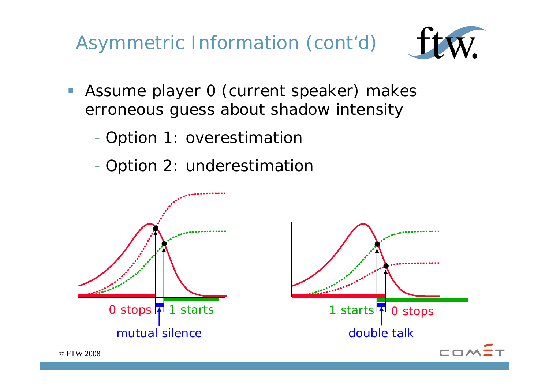Asymmetric Information (cont'd)



- **Assume player 0 (current speaker) makes** erroneous guess about shadow intensity
	- -- Option 1: overestimation
	- -- Option 2: underestimation

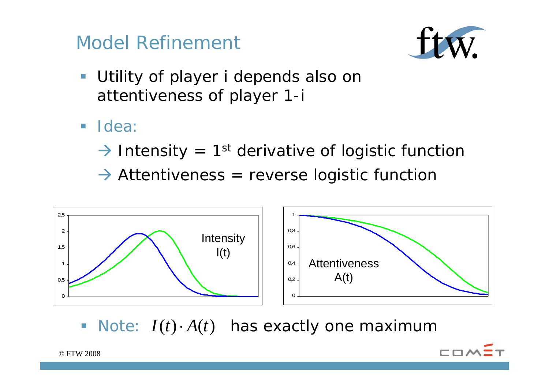



- $\mathcal{L}_{\mathcal{A}}$  Utility of player i depends also on attentiveness of player 1-i
- ldea:
	- $\rightarrow$  Intensity = 1<sup>st</sup> derivative of logistic function
	- $\rightarrow$  Attentiveness = reverse logistic function



■ Note: *I*(*t*) · *A*(*t*) has exactly one maximum

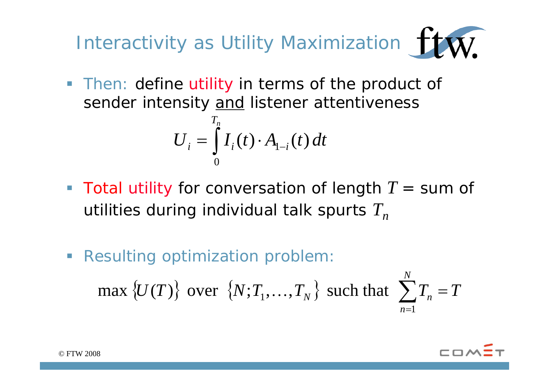Interactivity as Utility Maximization  $\mathbf{W}$ 

**Then: define utility in terms of the product of** sender intensity and listener attentiveness

$$
U_i = \int\limits_0^{T_n} I_i(t) \cdot A_{1-i}(t) dt
$$

- Total utility for conversation of length  $T =$  sum of utilities during individual talk spurts  $T<sub>n</sub>$
- ${U(T)}$  over  ${N;T_1,...,T_N}$  such that  $\sum$ = *n* 1 = *N*  $\max \{U(T)\}$  over  $\{N; T_1, \ldots, T_N\}$  such that  $\sum T_n = T$ **Resulting optimization problem:**